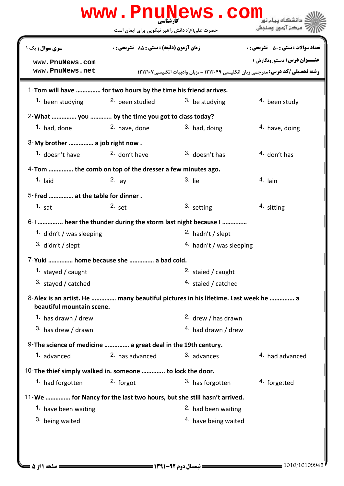|                                                                        | www.PnuNews.com<br>حضرت علی(ع): دانش راهبر نیکویی برای ایمان است |                                                                                        | ' مرڪز آزمون وسنڊش                           |
|------------------------------------------------------------------------|------------------------------------------------------------------|----------------------------------------------------------------------------------------|----------------------------------------------|
| <b>سری سوال :</b> یک ۱                                                 | زمان آزمون (دقيقه) : تستى : 55 ٪ تشريحي : 0                      |                                                                                        | <b>تعداد سوالات : تستي : 50 ٪ تشريحي : 0</b> |
| www.PnuNews.com                                                        |                                                                  |                                                                                        | <b>عنــوان درس:</b> دستورونگارش ۱            |
| www.PnuNews.net                                                        |                                                                  | <b>رشته تحصیلی/کد درس:</b> مترجمی زبان انگلیسی ۱۲۱۲۰۴۹ - ،زبان وادبیات انگلیسی ۱۲۱۲۱۰۷ |                                              |
| 1-Tom will have  for two hours by the time his friend arrives.         |                                                                  |                                                                                        |                                              |
|                                                                        | 1. been studying 2. been studied                                 | <sup>3</sup> be studying                                                               | <sup>4</sup> been study                      |
| 2-What  you  by the time you got to class today?                       |                                                                  |                                                                                        |                                              |
| 1. had, done                                                           | <sup>2.</sup> have, done                                         | 3. had, doing                                                                          | 4. have, doing                               |
| 3-My brother  a job right now.                                         |                                                                  |                                                                                        |                                              |
| 1. doesn't have                                                        | <sup>2.</sup> don't have                                         | $3.$ doesn't has                                                                       | $4.$ don't has                               |
| 4-Tom  the comb on top of the dresser a few minutes ago.               |                                                                  |                                                                                        |                                              |
| $1.$ laid                                                              | $2. \text{lay}$                                                  | $3.$ lie                                                                               | 4. lain                                      |
| 5-Fred  at the table for dinner.                                       |                                                                  |                                                                                        |                                              |
| $1.$ sat                                                               | $2.$ set                                                         | 3. setting                                                                             | 4. sitting                                   |
|                                                                        |                                                                  | 6-1  hear the thunder during the storm last night because I                            |                                              |
| 1. didn't / was sleeping                                               |                                                                  | 2. hadn't / slept                                                                      |                                              |
| $3.$ didn't / slept                                                    |                                                                  | 4. hadn't / was sleeping                                                               |                                              |
| 7-Yuki  home because she  a bad cold.                                  |                                                                  |                                                                                        |                                              |
| 1. stayed / caught                                                     |                                                                  | 2. staied / caught                                                                     |                                              |
| 3. stayed / catched                                                    |                                                                  | 4. staied / catched                                                                    |                                              |
| beautiful mountain scene.                                              |                                                                  | 8-Alex is an artist. He  many beautiful pictures in his lifetime. Last week he  a      |                                              |
| 1. has drawn / drew                                                    |                                                                  | 2. drew / has drawn                                                                    |                                              |
| 3. has drew / drawn                                                    |                                                                  | 4. had drawn / drew                                                                    |                                              |
| 9- The science of medicine  a great deal in the 19th century.          |                                                                  |                                                                                        |                                              |
| 1. advanced                                                            | 2. has advanced                                                  | 3. advances                                                                            | 4. had advanced                              |
| 10-The thief simply walked in. someone  to lock the door.              |                                                                  |                                                                                        |                                              |
| <b>1.</b> had forgotten                                                | 2. forgot                                                        | 3. has forgotten                                                                       | 4. forgetted                                 |
| 11-We  for Nancy for the last two hours, but she still hasn't arrived. |                                                                  |                                                                                        |                                              |
| 1. have been waiting                                                   |                                                                  | <sup>2</sup> had been waiting                                                          |                                              |
| 3. being waited                                                        |                                                                  | <sup>4.</sup> have being waited                                                        |                                              |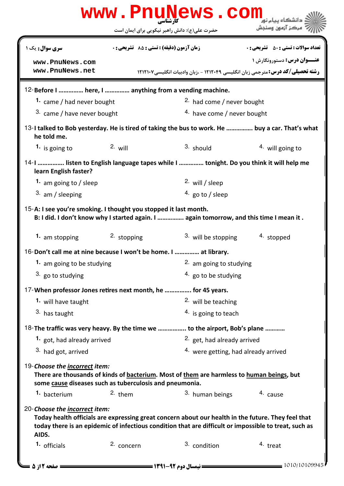|                                                                                                 |                                             | www.PnuNews.com<br>حضرت علی(ع): دانش راهبر نیکویی برای ایمان است                                                | ً مرڪز آزمون وسنڊش                                                                                                                                                                                          |  |
|-------------------------------------------------------------------------------------------------|---------------------------------------------|-----------------------------------------------------------------------------------------------------------------|-------------------------------------------------------------------------------------------------------------------------------------------------------------------------------------------------------------|--|
| <b>سری سوال :</b> یک ۱                                                                          | زمان آزمون (دقيقه) : تستى : 55 ٪ تشريحي : 0 |                                                                                                                 | <b>تعداد سوالات : تستی : 50 ٪ تشریحی : 0</b>                                                                                                                                                                |  |
|                                                                                                 |                                             |                                                                                                                 | <b>عنــوان درس:</b> دستورونگارش ۱                                                                                                                                                                           |  |
| www.PnuNews.com<br>www.PnuNews.net                                                              |                                             |                                                                                                                 | <b>رشته تحصیلی/کد درس:</b> مترجمی زبان انگلیسی ۱۲۱۲۰۴۹ - ،زبان وادبیات انگلیسی۱۲۱۲۱۰۷                                                                                                                       |  |
|                                                                                                 |                                             |                                                                                                                 |                                                                                                                                                                                                             |  |
| 12-Before I  here, I  anything from a vending machine.                                          |                                             |                                                                                                                 |                                                                                                                                                                                                             |  |
| 1. came / had never bought                                                                      |                                             | <sup>2.</sup> had come / never bought                                                                           |                                                                                                                                                                                                             |  |
| 3. came / have never bought                                                                     | 4. have come / never bought                 |                                                                                                                 |                                                                                                                                                                                                             |  |
| he told me.                                                                                     |                                             |                                                                                                                 | 13-I talked to Bob yesterday. He is tired of taking the bus to work. He  buy a car. That's what                                                                                                             |  |
| 1. is going to                                                                                  | $2.$ will                                   | 3. should                                                                                                       | $4.$ will going to                                                                                                                                                                                          |  |
| learn English faster?                                                                           |                                             |                                                                                                                 | 14-1  listen to English language tapes while I  tonight. Do you think it will help me                                                                                                                       |  |
| 1. am going to / sleep                                                                          |                                             | 2. will / sleep                                                                                                 |                                                                                                                                                                                                             |  |
| $3.$ am / sleeping                                                                              |                                             | 4. go to / sleep                                                                                                |                                                                                                                                                                                                             |  |
| 1. am stopping                                                                                  | 2. stopping                                 | B: I did. I don't know why I started again. I  again tomorrow, and this time I mean it .<br>3. will be stopping | 4. stopped                                                                                                                                                                                                  |  |
| 16-Don't call me at nine because I won't be home. I  at library.                                |                                             |                                                                                                                 |                                                                                                                                                                                                             |  |
| 1. am going to be studying                                                                      |                                             | 2. am going to studying                                                                                         |                                                                                                                                                                                                             |  |
| 3. go to studying                                                                               |                                             | $4.$ go to be studying                                                                                          |                                                                                                                                                                                                             |  |
| 17-When professor Jones retires next month, he  for 45 years.                                   |                                             |                                                                                                                 |                                                                                                                                                                                                             |  |
| 1. will have taught                                                                             |                                             | 2. will be teaching                                                                                             |                                                                                                                                                                                                             |  |
| 3. has taught                                                                                   |                                             | $4.$ is going to teach                                                                                          |                                                                                                                                                                                                             |  |
| 18- The traffic was very heavy. By the time we  to the airport, Bob's plane                     |                                             |                                                                                                                 |                                                                                                                                                                                                             |  |
| 1. got, had already arrived                                                                     |                                             | 2. get, had already arrived                                                                                     |                                                                                                                                                                                                             |  |
| 3. had got, arrived                                                                             |                                             |                                                                                                                 | 4. were getting, had already arrived                                                                                                                                                                        |  |
| 19-Choose the <i>incorrect</i> item:<br>some cause diseases such as tuberculosis and pneumonia. |                                             | There are thousands of kinds of bacterium. Most of them are harmless to human beings, but                       |                                                                                                                                                                                                             |  |
| 1. bacterium                                                                                    | $2.$ them                                   | 3. human beings                                                                                                 | 4. cause                                                                                                                                                                                                    |  |
| 20-Choose the incorrect item:<br>AIDS.                                                          |                                             |                                                                                                                 | Today health officials are expressing great concern about our health in the future. They feel that<br>today there is an epidemic of infectious condition that are difficult or impossible to treat, such as |  |
|                                                                                                 |                                             |                                                                                                                 |                                                                                                                                                                                                             |  |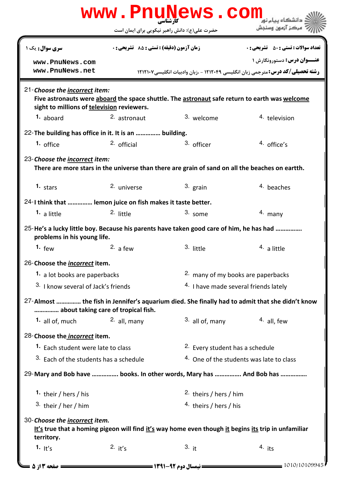|                                                                                                                                                                              |                                                                                         | www.PnuNews.com                                     |                                                                                        |  |  |
|------------------------------------------------------------------------------------------------------------------------------------------------------------------------------|-----------------------------------------------------------------------------------------|-----------------------------------------------------|----------------------------------------------------------------------------------------|--|--|
|                                                                                                                                                                              |                                                                                         | حضرت علی(ع): دانش راهبر نیکویی برای ایمان است       | ' مرڪز آزمون وسنڊش                                                                     |  |  |
| <b>سری سوال :</b> یک ۱                                                                                                                                                       | زمان آزمون (دقیقه) : تستی : 85 ٪ تشریحی : 0                                             |                                                     | <b>تعداد سوالات : تستي : 50 ٪ تشريحي : 0</b>                                           |  |  |
| www.PnuNews.com                                                                                                                                                              |                                                                                         |                                                     | <b>عنــوان درس:</b> دستورونگارش ۱                                                      |  |  |
| www.PnuNews.net                                                                                                                                                              |                                                                                         |                                                     | <b>رشته تحصیلی/کد درس:</b> مترجمی زبان انگلیسی ۱۲۱۲۰۴۹ - ،زبان وادبیات انگلیسی ۱۲۱۲۱۰۷ |  |  |
| 21-Choose the incorrect item:<br>Five astronauts were aboard the space shuttle. The astronaut safe return to earth was welcome<br>sight to millions of television reviewers. |                                                                                         |                                                     |                                                                                        |  |  |
| 1. aboard                                                                                                                                                                    | 2. astronaut                                                                            | 3. welcome                                          | 4. television                                                                          |  |  |
| 22-The building has office in it. It is an  building.                                                                                                                        |                                                                                         |                                                     |                                                                                        |  |  |
| $1.$ office                                                                                                                                                                  | $2.$ official                                                                           | 3. officer                                          | $4.$ office's                                                                          |  |  |
| 23-Choose the <i>incorrect</i> item:<br>There are more stars in the universe than there are grain of sand on all the beaches on eartth.                                      |                                                                                         |                                                     |                                                                                        |  |  |
| 1. stars                                                                                                                                                                     | 2. universe                                                                             | 3. grain                                            | 4. beaches                                                                             |  |  |
| 24-I think that  lemon juice on fish makes it taste better.                                                                                                                  |                                                                                         |                                                     |                                                                                        |  |  |
| <sup>1.</sup> a little                                                                                                                                                       | 2. little                                                                               | 3. some                                             | $4.$ many                                                                              |  |  |
| 25-He's a lucky little boy. Because his parents have taken good care of him, he has had<br>problems in his young life.                                                       |                                                                                         |                                                     |                                                                                        |  |  |
| 1. $few$                                                                                                                                                                     | 2. a few                                                                                | 3. little                                           | <sup>4.</sup> a little                                                                 |  |  |
| 26-Choose the <i>incorrect</i> item.                                                                                                                                         |                                                                                         |                                                     |                                                                                        |  |  |
| 1. a lot books are paperbacks                                                                                                                                                |                                                                                         | 2. many of my books are paperbacks                  |                                                                                        |  |  |
|                                                                                                                                                                              | 3. I know several of Jack's friends<br><sup>4.</sup> I have made several friends lately |                                                     |                                                                                        |  |  |
| 27-Almost  the fish in Jennifer's aquarium died. She finally had to admit that she didn't know<br>about taking care of tropical fish.                                        |                                                                                         |                                                     |                                                                                        |  |  |
| <b>1.</b> all of, much                                                                                                                                                       | $2.$ all, many                                                                          | 3. all of, many                                     | <sup>4</sup> all few                                                                   |  |  |
| 28-Choose the <i>incorrect</i> item.                                                                                                                                         |                                                                                         |                                                     |                                                                                        |  |  |
|                                                                                                                                                                              | 1. Each student were late to class                                                      |                                                     | <sup>2.</sup> Every student has a schedule                                             |  |  |
| 3. Each of the students has a schedule                                                                                                                                       |                                                                                         | <sup>4.</sup> One of the students was late to class |                                                                                        |  |  |
| 29-Mary and Bob have  books. In other words, Mary has  And Bob has                                                                                                           |                                                                                         |                                                     |                                                                                        |  |  |
| 1. their / hers / his                                                                                                                                                        |                                                                                         | <sup>2.</sup> theirs / hers / him                   |                                                                                        |  |  |
| 3. their / her / him                                                                                                                                                         |                                                                                         | 4. theirs / hers / his                              |                                                                                        |  |  |
| 30-Choose the incorrect item.<br>It's true that a homing pigeon will find it's way home even though it begins its trip in unfamiliar<br>territory.                           |                                                                                         |                                                     |                                                                                        |  |  |
| 1. It's                                                                                                                                                                      | 2. $it's$                                                                               | 3. it                                               | $4.$ its                                                                               |  |  |
| <b>صفحه 13 ; 5</b> =                                                                                                                                                         |                                                                                         |                                                     | 1010/10109945                                                                          |  |  |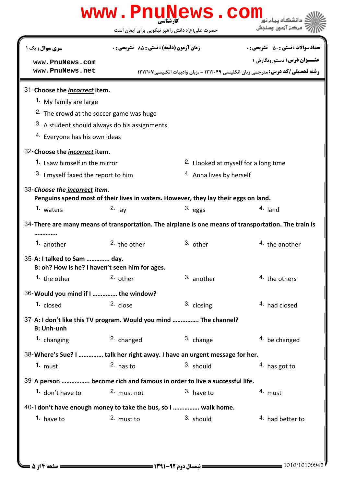|                                                                                       |                                             | www.PnuNews.<br>حضرت علی(ع): دانش راهبر نیکویی برای ایمان است                       |                                                                                                      |
|---------------------------------------------------------------------------------------|---------------------------------------------|-------------------------------------------------------------------------------------|------------------------------------------------------------------------------------------------------|
|                                                                                       |                                             |                                                                                     |                                                                                                      |
| <b>سری سوال :</b> یک ۱                                                                | زمان آزمون (دقيقه) : تستى : 85 ٪ تشريحي : 0 |                                                                                     | <b>تعداد سوالات : تستی : 50 ٪ تشریحی : 0</b>                                                         |
| www.PnuNews.com                                                                       |                                             |                                                                                     | <b>عنــوان درس:</b> دستورونگارش ۱                                                                    |
| www.PnuNews.net                                                                       |                                             |                                                                                     | <b>رشته تحصیلی/کد درس:</b> مترجمی زبان انگلیسی ۱۲۱۲۰۴۹ - ،زبان وادبیات انگلیسی۱۲۱۲۱۰۷                |
| 31-Choose the <i>incorrect</i> item.                                                  |                                             |                                                                                     |                                                                                                      |
| <sup>1</sup> My family are large                                                      |                                             |                                                                                     |                                                                                                      |
| <sup>2.</sup> The crowd at the soccer game was huge                                   |                                             |                                                                                     |                                                                                                      |
| 3. A student should always do his assignments                                         |                                             |                                                                                     |                                                                                                      |
| <sup>4.</sup> Everyone has his own ideas                                              |                                             |                                                                                     |                                                                                                      |
| 32-Choose the <i>incorrect</i> item.                                                  |                                             |                                                                                     |                                                                                                      |
| 1. I saw himself in the mirror                                                        |                                             |                                                                                     | <sup>2.</sup> I looked at myself for a long time                                                     |
| 3. I myself faxed the report to him                                                   |                                             | 4. Anna lives by herself                                                            |                                                                                                      |
| 33-Choose the incorrect item.                                                         |                                             |                                                                                     |                                                                                                      |
|                                                                                       |                                             | Penguins spend most of their lives in waters. However, they lay their eggs on land. |                                                                                                      |
| 1. waters                                                                             | $2. \text{lay}$                             | $3.$ eggs                                                                           | $4.$ land                                                                                            |
|                                                                                       |                                             |                                                                                     | 34-There are many means of transportation. The airplane is one means of transportation. The train is |
| <sup>1.</sup> another                                                                 | $2.$ the other                              | 3. other                                                                            | <sup>4.</sup> the another                                                                            |
| 35-A: I talked to Sam  day.<br>B: oh? How is he? I haven't seen him for ages.         |                                             |                                                                                     |                                                                                                      |
| 1. the other                                                                          | 2. other                                    | 3. another                                                                          | 4. the others                                                                                        |
| 36-Would you mind if I  the window?                                                   |                                             |                                                                                     |                                                                                                      |
| 1. closed                                                                             | 2. close                                    | 3. closing                                                                          | 4. had closed                                                                                        |
| 37-A: I don't like this TV program. Would you mind  The channel?<br><b>B: Unh-unh</b> |                                             |                                                                                     |                                                                                                      |
| 1. changing                                                                           | 2. changed                                  | 3. change                                                                           | 4. be changed                                                                                        |
| 38-Where's Sue? I  talk her right away. I have an urgent message for her.             |                                             |                                                                                     |                                                                                                      |
| 1. $must$                                                                             | $2.$ has to                                 | 3. should                                                                           | 4. has got to                                                                                        |
| 39-A person  become rich and famous in order to live a successful life.               |                                             |                                                                                     |                                                                                                      |
| 1. don't have to                                                                      | 2. must not                                 | 3. have to                                                                          | 4. must                                                                                              |
| 40-I don't have enough money to take the bus, so I  walk home.                        |                                             |                                                                                     |                                                                                                      |
|                                                                                       | 2. must to                                  | 3. should                                                                           | 4. had better to                                                                                     |